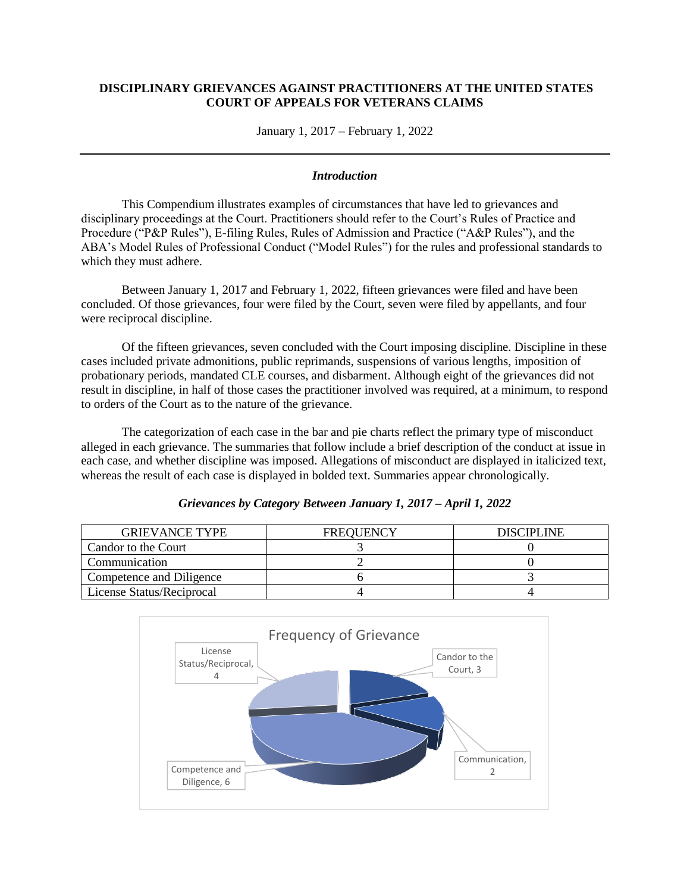## **DISCIPLINARY GRIEVANCES AGAINST PRACTITIONERS AT THE UNITED STATES COURT OF APPEALS FOR VETERANS CLAIMS**

January 1, 2017 – February 1, 2022

## *Introduction*

This Compendium illustrates examples of circumstances that have led to grievances and disciplinary proceedings at the Court. Practitioners should refer to the Court's Rules of Practice and Procedure ("P&P Rules"), E-filing Rules, Rules of Admission and Practice ("A&P Rules"), and the ABA's Model Rules of Professional Conduct ("Model Rules") for the rules and professional standards to which they must adhere.

Between January 1, 2017 and February 1, 2022, fifteen grievances were filed and have been concluded. Of those grievances, four were filed by the Court, seven were filed by appellants, and four were reciprocal discipline.

Of the fifteen grievances, seven concluded with the Court imposing discipline. Discipline in these cases included private admonitions, public reprimands, suspensions of various lengths, imposition of probationary periods, mandated CLE courses, and disbarment. Although eight of the grievances did not result in discipline, in half of those cases the practitioner involved was required, at a minimum, to respond to orders of the Court as to the nature of the grievance.

The categorization of each case in the bar and pie charts reflect the primary type of misconduct alleged in each grievance. The summaries that follow include a brief description of the conduct at issue in each case, and whether discipline was imposed. Allegations of misconduct are displayed in italicized text, whereas the result of each case is displayed in bolded text. Summaries appear chronologically.

## *Grievances by Category Between January 1, 2017 – April 1, 2022*

| <b>GRIEVANCE TYPE</b>     | <b>FREQUENCY</b> | <b>DISCIPLINE</b> |
|---------------------------|------------------|-------------------|
| Candor to the Court       |                  |                   |
| Communication             |                  |                   |
| Competence and Diligence  |                  |                   |
| License Status/Reciprocal |                  |                   |

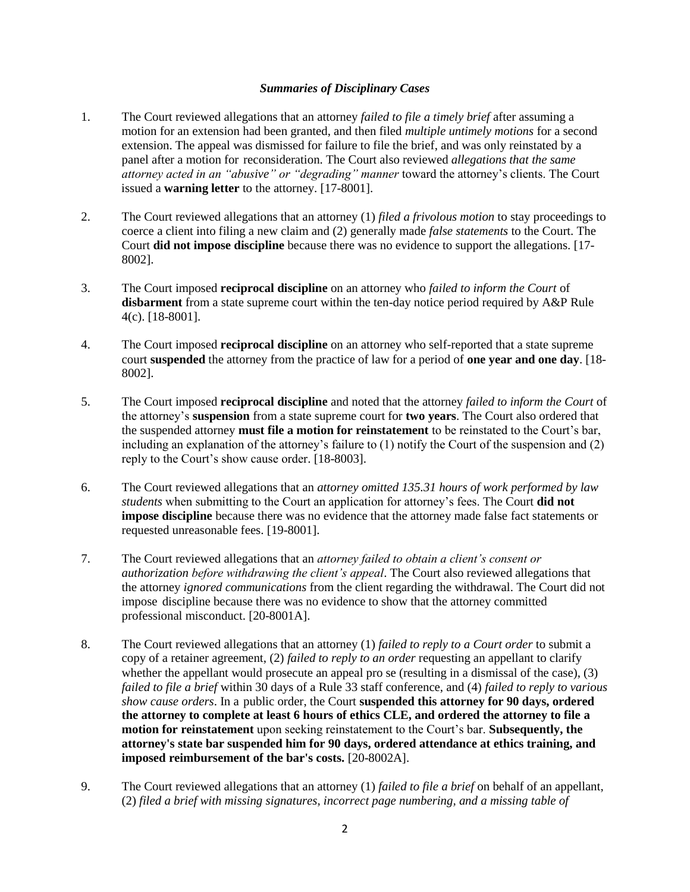## *Summaries of Disciplinary Cases*

- 1. The Court reviewed allegations that an attorney *failed to file a timely brief* after assuming a motion for an extension had been granted, and then filed *multiple untimely motions* for a second extension. The appeal was dismissed for failure to file the brief, and was only reinstated by a panel after a motion for reconsideration. The Court also reviewed *allegations that the same attorney acted in an "abusive" or "degrading" manner* toward the attorney's clients. The Court issued a **warning letter** to the attorney. [17-8001].
- 2. The Court reviewed allegations that an attorney (1) *filed a frivolous motion* to stay proceedings to coerce a client into filing a new claim and (2) generally made *false statements* to the Court. The Court **did not impose discipline** because there was no evidence to support the allegations. [17- 8002].
- 3. The Court imposed **reciprocal discipline** on an attorney who *failed to inform the Court* of **disbarment** from a state supreme court within the ten-day notice period required by A&P Rule 4(c). [18-8001].
- 4. The Court imposed **reciprocal discipline** on an attorney who self-reported that a state supreme court **suspended** the attorney from the practice of law for a period of **one year and one day**. [18- 8002].
- 5. The Court imposed **reciprocal discipline** and noted that the attorney *failed to inform the Court* of the attorney's **suspension** from a state supreme court for **two years**. The Court also ordered that the suspended attorney **must file a motion for reinstatement** to be reinstated to the Court's bar, including an explanation of the attorney's failure to (1) notify the Court of the suspension and (2) reply to the Court's show cause order. [18-8003].
- 6. The Court reviewed allegations that an *attorney omitted 135.31 hours of work performed by law students* when submitting to the Court an application for attorney's fees. The Court **did not impose discipline** because there was no evidence that the attorney made false fact statements or requested unreasonable fees. [19-8001].
- 7. The Court reviewed allegations that an *attorney failed to obtain a client's consent or authorization before withdrawing the client's appeal*. The Court also reviewed allegations that the attorney *ignored communications* from the client regarding the withdrawal. The Court did not impose discipline because there was no evidence to show that the attorney committed professional misconduct. [20-8001A].
- 8. The Court reviewed allegations that an attorney (1) *failed to reply to a Court order* to submit a copy of a retainer agreement, (2) *failed to reply to an order* requesting an appellant to clarify whether the appellant would prosecute an appeal pro se (resulting in a dismissal of the case), (3) *failed to file a brief* within 30 days of a Rule 33 staff conference, and (4) *failed to reply to various show cause orders*. In a public order, the Court **suspended this attorney for 90 days, ordered the attorney to complete at least 6 hours of ethics CLE, and ordered the attorney to file a motion for reinstatement** upon seeking reinstatement to the Court's bar. **Subsequently, the attorney's state bar suspended him for 90 days, ordered attendance at ethics training, and imposed reimbursement of the bar's costs.** [20-8002A].
- 9. The Court reviewed allegations that an attorney (1) *failed to file a brief* on behalf of an appellant, (2) *filed a brief with missing signatures, incorrect page numbering, and a missing table of*